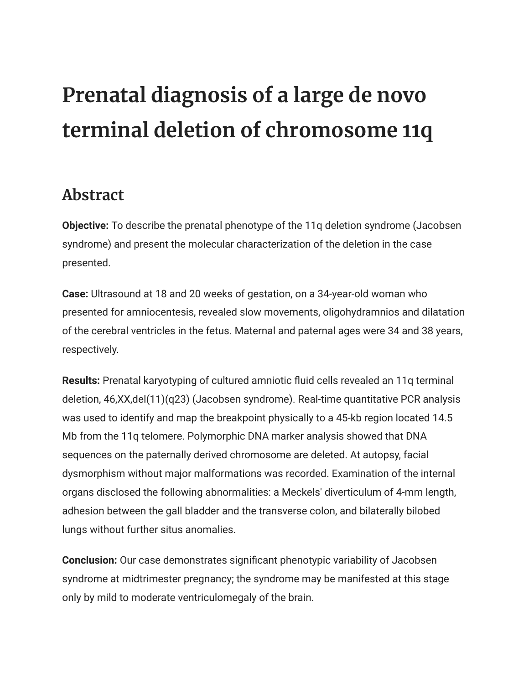## **Prenatal diagnosis of a large de novo terminal deletion of chromosome 11q**

## **Abstract**

**Objective:** To describe the prenatal phenotype of the 11q deletion syndrome (Jacobsen syndrome) and present the molecular characterization of the deletion in the case presented.

**Case:** Ultrasound at 18 and 20 weeks of gestation, on a 34-year-old woman who presented for amniocentesis, revealed slow movements, oligohydramnios and dilatation of the cerebral ventricles in the fetus. Maternal and paternal ages were 34 and 38 years, respectively.

**Results:** Prenatal karyotyping of cultured amniotic fluid cells revealed an 11q terminal deletion, 46,XX,del(11)(q23) (Jacobsen syndrome). Real-time quantitative PCR analysis was used to identify and map the breakpoint physically to a 45-kb region located 14.5 Mb from the 11q telomere. Polymorphic DNA marker analysis showed that DNA sequences on the paternally derived chromosome are deleted. At autopsy, facial dysmorphism without major malformations was recorded. Examination of the internal organs disclosed the following abnormalities: a Meckels' diverticulum of 4-mm length, adhesion between the gall bladder and the transverse colon, and bilaterally bilobed lungs without further situs anomalies.

**Conclusion:** Our case demonstrates significant phenotypic variability of Jacobsen syndrome at midtrimester pregnancy; the syndrome may be manifested at this stage only by mild to moderate ventriculomegaly of the brain.